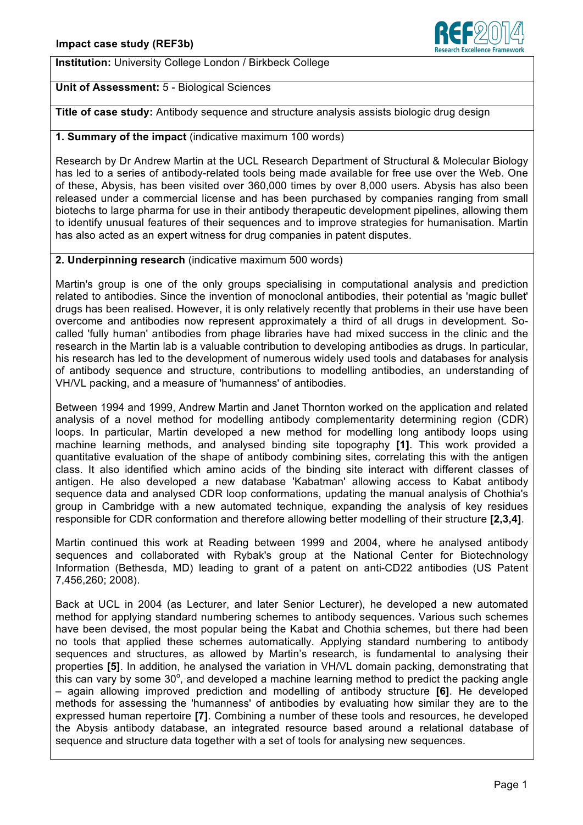

**Institution:** University College London / Birkbeck College

# **Unit of Assessment:** 5 - Biological Sciences

**Title of case study:** Antibody sequence and structure analysis assists biologic drug design

# **1. Summary of the impact** (indicative maximum 100 words)

Research by Dr Andrew Martin at the UCL Research Department of Structural & Molecular Biology has led to a series of antibody-related tools being made available for free use over the Web. One of these, Abysis, has been visited over 360,000 times by over 8,000 users. Abysis has also been released under a commercial license and has been purchased by companies ranging from small biotechs to large pharma for use in their antibody therapeutic development pipelines, allowing them to identify unusual features of their sequences and to improve strategies for humanisation. Martin has also acted as an expert witness for drug companies in patent disputes.

### **2. Underpinning research** (indicative maximum 500 words)

Martin's group is one of the only groups specialising in computational analysis and prediction related to antibodies. Since the invention of monoclonal antibodies, their potential as 'magic bullet' drugs has been realised. However, it is only relatively recently that problems in their use have been overcome and antibodies now represent approximately a third of all drugs in development. Socalled 'fully human' antibodies from phage libraries have had mixed success in the clinic and the research in the Martin lab is a valuable contribution to developing antibodies as drugs. In particular, his research has led to the development of numerous widely used tools and databases for analysis of antibody sequence and structure, contributions to modelling antibodies, an understanding of VH/VL packing, and a measure of 'humanness' of antibodies.

Between 1994 and 1999, Andrew Martin and Janet Thornton worked on the application and related analysis of a novel method for modelling antibody complementarity determining region (CDR) loops. In particular, Martin developed a new method for modelling long antibody loops using machine learning methods, and analysed binding site topography **[1]**. This work provided a quantitative evaluation of the shape of antibody combining sites, correlating this with the antigen class. It also identified which amino acids of the binding site interact with different classes of antigen. He also developed a new database 'Kabatman' allowing access to Kabat antibody sequence data and analysed CDR loop conformations, updating the manual analysis of Chothia's group in Cambridge with a new automated technique, expanding the analysis of key residues responsible for CDR conformation and therefore allowing better modelling of their structure **[2,3,4]**.

Martin continued this work at Reading between 1999 and 2004, where he analysed antibody sequences and collaborated with Rybak's group at the National Center for Biotechnology Information (Bethesda, MD) leading to grant of a patent on anti-CD22 antibodies (US Patent 7,456,260; 2008).

Back at UCL in 2004 (as Lecturer, and later Senior Lecturer), he developed a new automated method for applying standard numbering schemes to antibody sequences. Various such schemes have been devised, the most popular being the Kabat and Chothia schemes, but there had been no tools that applied these schemes automatically. Applying standard numbering to antibody sequences and structures, as allowed by Martin's research, is fundamental to analysing their properties **[5]**. In addition, he analysed the variation in VH/VL domain packing, demonstrating that this can vary by some 30°, and developed a machine learning method to predict the packing angle – again allowing improved prediction and modelling of antibody structure **[6]**. He developed methods for assessing the 'humanness' of antibodies by evaluating how similar they are to the expressed human repertoire **[7]**. Combining a number of these tools and resources, he developed the Abysis antibody database, an integrated resource based around a relational database of sequence and structure data together with a set of tools for analysing new sequences.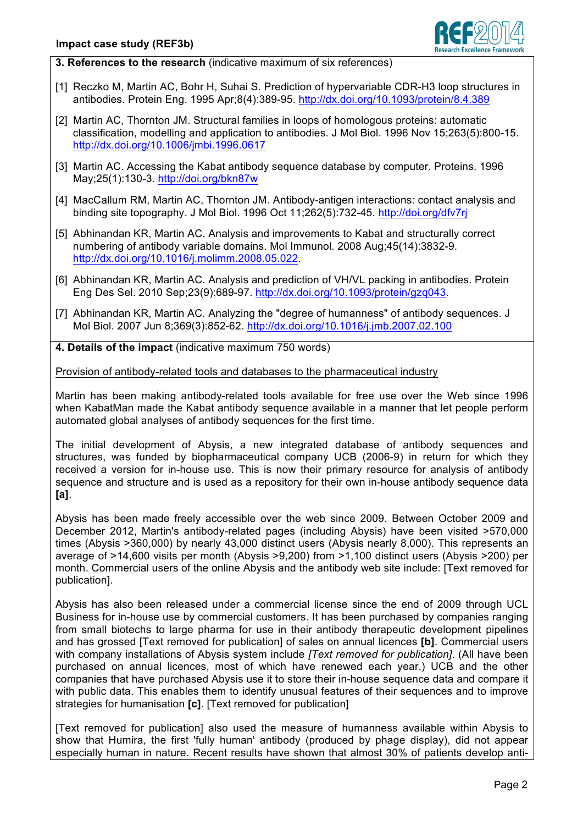

**3. References to the research** (indicative maximum of six references)

- [1] Reczko M, Martin AC, Bohr H, Suhai S. Prediction of hypervariable CDR-H3 loop structures in antibodies. Protein Eng. 1995 Apr;8(4):389-95. http://dx.doi.org/10.1093/protein/8.4.389
- [2] Martin AC, Thornton JM. Structural families in loops of homologous proteins: automatic classification, modelling and application to antibodies. J Mol Biol. 1996 Nov 15;263(5):800-15. http://dx.doi.org/10.1006/jmbi.1996.0617
- [3] Martin AC. Accessing the Kabat antibody sequence database by computer. Proteins. 1996 May;25(1):130-3. http://doi.org/bkn87w
- [4] MacCallum RM, Martin AC, Thornton JM. Antibody-antigen interactions: contact analysis and binding site topography. J Mol Biol. 1996 Oct 11;262(5):732-45. http://doi.org/dfv7rj
- [5] Abhinandan KR, Martin AC. Analysis and improvements to Kabat and structurally correct numbering of antibody variable domains. Mol Immunol. 2008 Aug;45(14):3832-9. http://dx.doi.org/10.1016/j.molimm.2008.05.022.
- [6] Abhinandan KR, Martin AC. Analysis and prediction of VH/VL packing in antibodies. Protein Eng Des Sel. 2010 Sep;23(9):689-97. http://dx.doi.org/10.1093/protein/gzq043.
- [7] Abhinandan KR, Martin AC. Analyzing the "degree of humanness" of antibody sequences. J Mol Biol. 2007 Jun 8;369(3):852-62. http://dx.doi.org/10.1016/j.jmb.2007.02.100
- **4. Details of the impact** (indicative maximum 750 words)

Provision of antibody-related tools and databases to the pharmaceutical industry

Martin has been making antibody-related tools available for free use over the Web since 1996 when KabatMan made the Kabat antibody sequence available in a manner that let people perform automated global analyses of antibody sequences for the first time.

The initial development of Abysis, a new integrated database of antibody sequences and structures, was funded by biopharmaceutical company UCB (2006-9) in return for which they received a version for in-house use. This is now their primary resource for analysis of antibody sequence and structure and is used as a repository for their own in-house antibody sequence data **[a]**.

Abysis has been made freely accessible over the web since 2009. Between October 2009 and December 2012, Martin's antibody-related pages (including Abysis) have been visited >570,000 times (Abysis >360,000) by nearly 43,000 distinct users (Abysis nearly 8,000). This represents an average of >14,600 visits per month (Abysis >9,200) from >1,100 distinct users (Abysis >200) per month. Commercial users of the online Abysis and the antibody web site include: [Text removed for publication].

Abysis has also been released under a commercial license since the end of 2009 through UCL Business for in-house use by commercial customers. It has been purchased by companies ranging from small biotechs to large pharma for use in their antibody therapeutic development pipelines and has grossed [Text removed for publication] of sales on annual licences **[b]**. Commercial users with company installations of Abysis system include *[Text removed for publication]*. (All have been purchased on annual licences, most of which have renewed each year.) UCB and the other companies that have purchased Abysis use it to store their in-house sequence data and compare it with public data. This enables them to identify unusual features of their sequences and to improve strategies for humanisation **[c]**. [Text removed for publication]

[Text removed for publication] also used the measure of humanness available within Abysis to show that Humira, the first 'fully human' antibody (produced by phage display), did not appear especially human in nature. Recent results have shown that almost 30% of patients develop anti-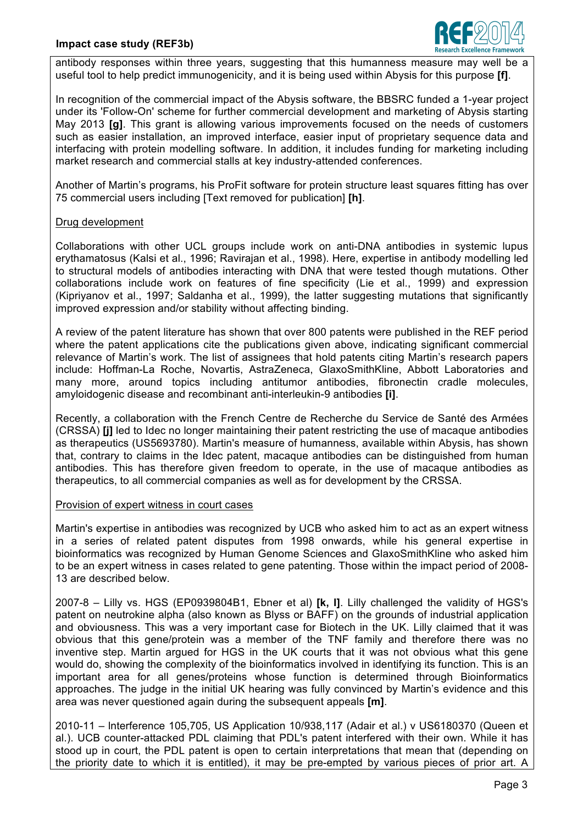

antibody responses within three years, suggesting that this humanness measure may well be a useful tool to help predict immunogenicity, and it is being used within Abysis for this purpose **[f]**.

In recognition of the commercial impact of the Abysis software, the BBSRC funded a 1-year project under its 'Follow-On' scheme for further commercial development and marketing of Abysis starting May 2013 **[g]**. This grant is allowing various improvements focused on the needs of customers such as easier installation, an improved interface, easier input of proprietary sequence data and interfacing with protein modelling software. In addition, it includes funding for marketing including market research and commercial stalls at key industry-attended conferences.

Another of Martin's programs, his ProFit software for protein structure least squares fitting has over 75 commercial users including [Text removed for publication] **[h]**.

### Drug development

Collaborations with other UCL groups include work on anti-DNA antibodies in systemic lupus erythamatosus (Kalsi et al., 1996; Ravirajan et al., 1998). Here, expertise in antibody modelling led to structural models of antibodies interacting with DNA that were tested though mutations. Other collaborations include work on features of fine specificity (Lie et al., 1999) and expression (Kipriyanov et al., 1997; Saldanha et al., 1999), the latter suggesting mutations that significantly improved expression and/or stability without affecting binding.

A review of the patent literature has shown that over 800 patents were published in the REF period where the patent applications cite the publications given above, indicating significant commercial relevance of Martin's work. The list of assignees that hold patents citing Martin's research papers include: Hoffman-La Roche, Novartis, AstraZeneca, GlaxoSmithKline, Abbott Laboratories and many more, around topics including antitumor antibodies, fibronectin cradle molecules, amyloidogenic disease and recombinant anti-interleukin-9 antibodies **[i]**.

Recently, a collaboration with the French Centre de Recherche du Service de Santé des Armées (CRSSA) **[j]** led to Idec no longer maintaining their patent restricting the use of macaque antibodies as therapeutics (US5693780). Martin's measure of humanness, available within Abysis, has shown that, contrary to claims in the Idec patent, macaque antibodies can be distinguished from human antibodies. This has therefore given freedom to operate, in the use of macaque antibodies as therapeutics, to all commercial companies as well as for development by the CRSSA.

#### Provision of expert witness in court cases

Martin's expertise in antibodies was recognized by UCB who asked him to act as an expert witness in a series of related patent disputes from 1998 onwards, while his general expertise in bioinformatics was recognized by Human Genome Sciences and GlaxoSmithKline who asked him to be an expert witness in cases related to gene patenting. Those within the impact period of 2008- 13 are described below.

2007-8 – Lilly vs. HGS (EP0939804B1, Ebner et al) **[k, l]**. Lilly challenged the validity of HGS's patent on neutrokine alpha (also known as Blyss or BAFF) on the grounds of industrial application and obviousness. This was a very important case for Biotech in the UK. Lilly claimed that it was obvious that this gene/protein was a member of the TNF family and therefore there was no inventive step. Martin argued for HGS in the UK courts that it was not obvious what this gene would do, showing the complexity of the bioinformatics involved in identifying its function. This is an important area for all genes/proteins whose function is determined through Bioinformatics approaches. The judge in the initial UK hearing was fully convinced by Martin's evidence and this area was never questioned again during the subsequent appeals **[m]**.

2010-11 – lnterference 105,705, US Application 10/938,117 (Adair et al.) v US6180370 (Queen et al.). UCB counter-attacked PDL claiming that PDL's patent interfered with their own. While it has stood up in court, the PDL patent is open to certain interpretations that mean that (depending on the priority date to which it is entitled), it may be pre-empted by various pieces of prior art. A